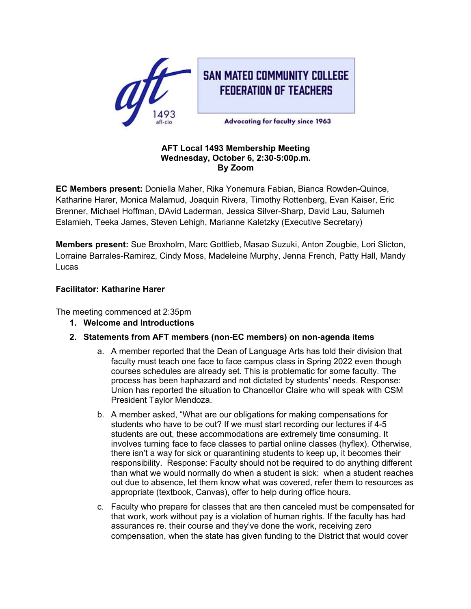

# **SAN MATEO COMMUNITY COLLEGE FEDERATION OF TEACHERS**

**Advocating for faculty since 1963** 

#### **AFT Local 1493 Membership Meeting Wednesday, October 6, 2:30-5:00p.m. By Zoom**

**EC Members present:** Doniella Maher, Rika Yonemura Fabian, Bianca Rowden-Quince, Katharine Harer, Monica Malamud, Joaquin Rivera, Timothy Rottenberg, Evan Kaiser, Eric Brenner, Michael Hoffman, DAvid Laderman, Jessica Silver-Sharp, David Lau, Salumeh Eslamieh, Teeka James, Steven Lehigh, Marianne Kaletzky (Executive Secretary)

**Members present:** Sue Broxholm, Marc Gottlieb, Masao Suzuki, Anton Zougbie, Lori Slicton, Lorraine Barrales-Ramirez, Cindy Moss, Madeleine Murphy, Jenna French, Patty Hall, Mandy Lucas

## **Facilitator: Katharine Harer**

The meeting commenced at 2:35pm

- **1. Welcome and Introductions**
- **2. Statements from AFT members (non-EC members) on non-agenda items**
	- a. A member reported that the Dean of Language Arts has told their division that faculty must teach one face to face campus class in Spring 2022 even though courses schedules are already set. This is problematic for some faculty. The process has been haphazard and not dictated by students' needs. Response: Union has reported the situation to Chancellor Claire who will speak with CSM President Taylor Mendoza.
	- b. A member asked, "What are our obligations for making compensations for students who have to be out? If we must start recording our lectures if 4-5 students are out, these accommodations are extremely time consuming. It involves turning face to face classes to partial online classes (hyflex). Otherwise, there isn't a way for sick or quarantining students to keep up, it becomes their responsibility. Response: Faculty should not be required to do anything different than what we would normally do when a student is sick: when a student reaches out due to absence, let them know what was covered, refer them to resources as appropriate (textbook, Canvas), offer to help during office hours.
	- c. Faculty who prepare for classes that are then canceled must be compensated for that work, work without pay is a violation of human rights. If the faculty has had assurances re. their course and they've done the work, receiving zero compensation, when the state has given funding to the District that would cover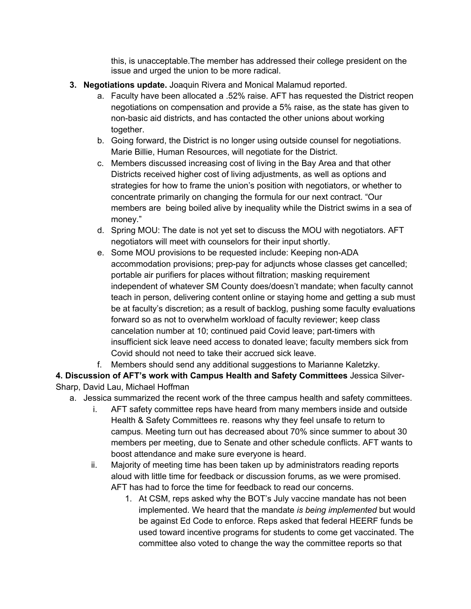this, is unacceptable.The member has addressed their college president on the issue and urged the union to be more radical.

- **3. Negotiations update.** Joaquin Rivera and Monical Malamud reported.
	- a. Faculty have been allocated a .52% raise. AFT has requested the District reopen negotiations on compensation and provide a 5% raise, as the state has given to non-basic aid districts, and has contacted the other unions about working together.
	- b. Going forward, the District is no longer using outside counsel for negotiations. Marie Billie, Human Resources, will negotiate for the District.
	- c. Members discussed increasing cost of living in the Bay Area and that other Districts received higher cost of living adjustments, as well as options and strategies for how to frame the union's position with negotiators, or whether to concentrate primarily on changing the formula for our next contract. "Our members are being boiled alive by inequality while the District swims in a sea of money."
	- d. Spring MOU: The date is not yet set to discuss the MOU with negotiators. AFT negotiators will meet with counselors for their input shortly.
	- e. Some MOU provisions to be requested include: Keeping non-ADA accommodation provisions; prep-pay for adjuncts whose classes get cancelled; portable air purifiers for places without filtration; masking requirement independent of whatever SM County does/doesn't mandate; when faculty cannot teach in person, delivering content online or staying home and getting a sub must be at faculty's discretion; as a result of backlog, pushing some faculty evaluations forward so as not to overwhelm workload of faculty reviewer; keep class cancelation number at 10; continued paid Covid leave; part-timers with insufficient sick leave need access to donated leave; faculty members sick from Covid should not need to take their accrued sick leave.
	- f. Members should send any additional suggestions to Marianne Kaletzky.

**4. Discussion of AFT's work with Campus Health and Safety Committees** Jessica Silver-Sharp, David Lau, Michael Hoffman

- a. Jessica summarized the recent work of the three campus health and safety committees.
	- i. AFT safety committee reps have heard from many members inside and outside Health & Safety Committees re. reasons why they feel unsafe to return to campus. Meeting turn out has decreased about 70% since summer to about 30 members per meeting, due to Senate and other schedule conflicts. AFT wants to boost attendance and make sure everyone is heard.
	- ii. Majority of meeting time has been taken up by administrators reading reports aloud with little time for feedback or discussion forums, as we were promised. AFT has had to force the time for feedback to read our concerns.
		- 1. At CSM, reps asked why the BOT's July vaccine mandate has not been implemented. We heard that the mandate *is being implemented* but would be against Ed Code to enforce. Reps asked that federal HEERF funds be used toward incentive programs for students to come get vaccinated. The committee also voted to change the way the committee reports so that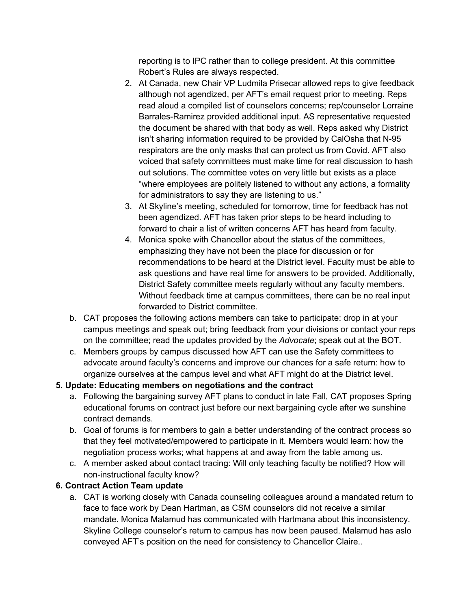reporting is to IPC rather than to college president. At this committee Robert's Rules are always respected.

- 2. At Canada, new Chair VP Ludmila Prisecar allowed reps to give feedback although not agendized, per AFT's email request prior to meeting. Reps read aloud a compiled list of counselors concerns; rep/counselor Lorraine Barrales-Ramirez provided additional input. AS representative requested the document be shared with that body as well. Reps asked why District isn't sharing information required to be provided by CalOsha that N-95 respirators are the only masks that can protect us from Covid. AFT also voiced that safety committees must make time for real discussion to hash out solutions. The committee votes on very little but exists as a place "where employees are politely listened to without any actions, a formality for administrators to say they are listening to us."
- 3. At Skyline's meeting, scheduled for tomorrow, time for feedback has not been agendized. AFT has taken prior steps to be heard including to forward to chair a list of written concerns AFT has heard from faculty.
- 4. Monica spoke with Chancellor about the status of the committees, emphasizing they have not been the place for discussion or for recommendations to be heard at the District level. Faculty must be able to ask questions and have real time for answers to be provided. Additionally, District Safety committee meets regularly without any faculty members. Without feedback time at campus committees, there can be no real input forwarded to District committee.
- b. CAT proposes the following actions members can take to participate: drop in at your campus meetings and speak out; bring feedback from your divisions or contact your reps on the committee; read the updates provided by the *Advocate*; speak out at the BOT.
- c. Members groups by campus discussed how AFT can use the Safety committees to advocate around faculty's concerns and improve our chances for a safe return: how to organize ourselves at the campus level and what AFT might do at the District level.

## **5. Update: Educating members on negotiations and the contract**

- a. Following the bargaining survey AFT plans to conduct in late Fall, CAT proposes Spring educational forums on contract just before our next bargaining cycle after we sunshine contract demands.
- b. Goal of forums is for members to gain a better understanding of the contract process so that they feel motivated/empowered to participate in it. Members would learn: how the negotiation process works; what happens at and away from the table among us.
- c. A member asked about contact tracing: Will only teaching faculty be notified? How will non-instructional faculty know?

## **6. Contract Action Team update**

a. CAT is working closely with Canada counseling colleagues around a mandated return to face to face work by Dean Hartman, as CSM counselors did not receive a similar mandate. Monica Malamud has communicated with Hartmana about this inconsistency. Skyline College counselor's return to campus has now been paused. Malamud has aslo conveyed AFT's position on the need for consistency to Chancellor Claire..